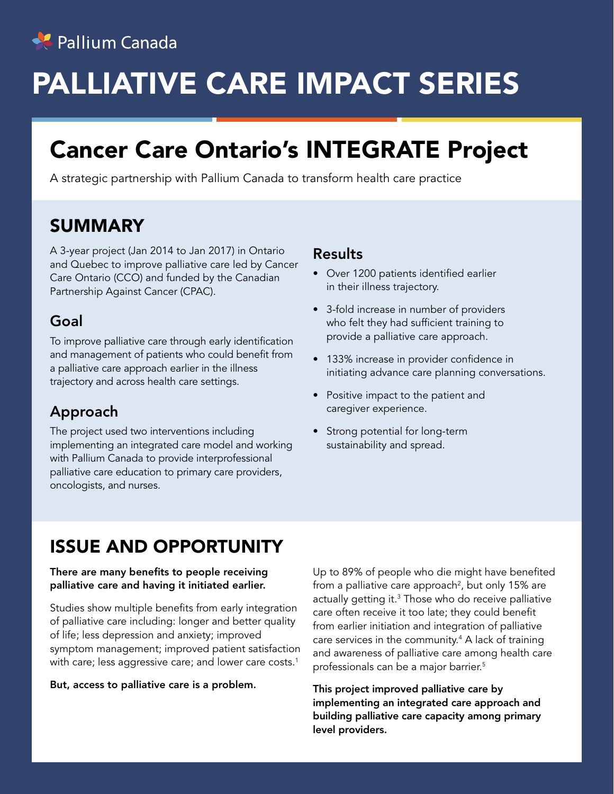

# PALLIATIVE CARE IMPACT SERIES

# Cancer Care Ontario's INTEGRATE Project

A strategic partnership with Pallium Canada to transform health care practice

## SUMMARY

A 3-year project (Jan 2014 to Jan 2017) in Ontario and Quebec to improve palliative care led by Cancer Care Ontario (CCO) and funded by the Canadian Partnership Against Cancer (CPAC).

#### Goal

To improve palliative care through early identification and management of patients who could benefit from a palliative care approach earlier in the illness trajectory and across health care settings.

### Approach

The project used two interventions including implementing an integrated care model and working with Pallium Canada to provide interprofessional palliative care education to primary care providers, oncologists, and nurses.

#### Results

- Over 1200 patients identified earlier in their illness trajectory.
- 3-fold increase in number of providers who felt they had sufficient training to provide a palliative care approach.
- 133% increase in provider confidence in initiating advance care planning conversations.
- Positive impact to the patient and caregiver experience.
- Strong potential for long-term sustainability and spread.

## ISSUE AND OPPORTUNITY

#### There are many benefits to people receiving palliative care and having it initiated earlier.

Studies show multiple benefits from early integration of palliative care including: longer and better quality of life; less depression and anxiety; improved symptom management; improved patient satisfaction with care; less aggressive care; and lower care costs.<sup>1</sup>

#### But, access to palliative care is a problem.

Up to 89% of people who die might have benefited from a palliative care approach $^2$ , but only 15% are actually getting it. $^3$  Those who do receive palliative care often receive it too late; they could benefit from earlier initiation and integration of palliative care services in the community.<sup>4</sup> A lack of training and awareness of palliative care among health care professionals can be a major barrier.5

This project improved palliative care by implementing an integrated care approach and building palliative care capacity among primary level providers.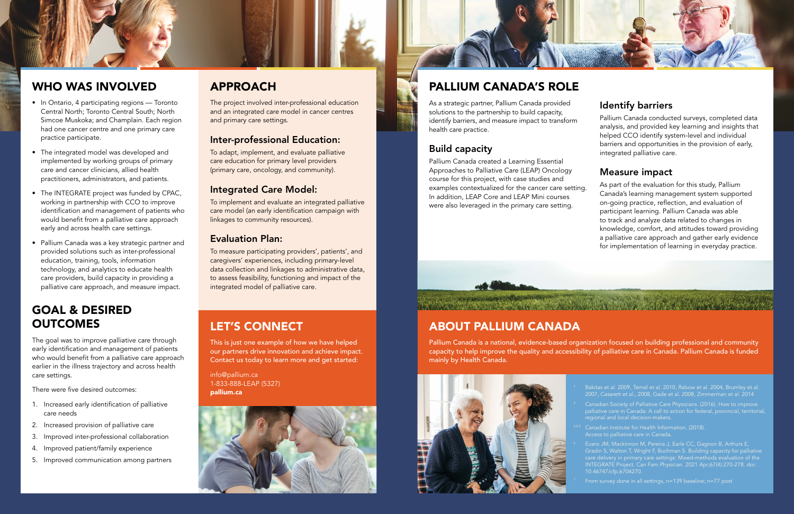### WHO WAS INVOLVED

### GOAL & DESIRED **OUTCOMES**

- In Ontario, 4 participating regions Toronto Central North; Toronto Central South; North Simcoe Muskoka; and Champlain. Each region had one cancer centre and one primary care practice participate.
- The integrated model was developed and implemented by working groups of primary care and cancer clinicians, allied health practitioners, administrators, and patients.
- The INTEGRATE project was funded by CPAC, working in partnership with CCO to improve identification and management of patients who would benefit from a palliative care approach early and across health care settings.
- Pallium Canada was a key strategic partner and provided solutions such as inter-professional education, training, tools, information technology, and analytics to educate health care providers, build capacity in providing a palliative care approach, and measure impact.

The goal was to improve palliative care through early identification and management of patients who would benefit from a palliative care approach earlier in the illness trajectory and across health care settings.

There were five desired outcomes:

- 1. Increased early identification of palliative care needs
- 2. Increased provision of palliative care
- 3. Improved inter-professional collaboration
- 4. Improved patient/family experience
- 5. Improved communication among partners

### APPROACH

The project involved inter-professional education and an integrated care model in cancer centres and primary care settings.

#### Inter-professional Education:

To adapt, implement, and evaluate palliative care education for primary level providers (primary care, oncology, and community).

#### Integrated Care Model:

To implement and evaluate an integrated palliative care model (an early identification campaign with linkages to community resources).

#### Evaluation Plan:

To measure participating providers', patients', and caregivers' experiences, including primary-level data collection and linkages to administrative data, to assess feasibility, functioning and impact of the integrated model of palliative care.

### PALLIUM CANADA'S ROLE

As a strategic partner, Pallium Canada provided solutions to the partnership to build capacity, identify barriers, and measure impact to transform health care practice.

### Build capacity

Pallium Canada created a Learning Essential Approaches to Palliative Care (LEAP) Oncology course for this project, with case studies and examples contextualized for the cancer care setting. In addition, LEAP Core and LEAP Mini courses were also leveraged in the primary care setting.



### Identify barriers

Pallium Canada conducted surveys, completed data analysis, and provided key learning and insights that helped CCO identify system-level and individual barriers and opportunities in the provision of early, integrated palliative care.

### Measure impact

As part of the evaluation for this study, Pallium Canada's learning management system supported on-going practice, reflection, and evaluation of participant learning. Pallium Canada was able to track and analyze data related to changes in knowledge, comfort, and attitudes toward providing a palliative care approach and gather early evidence for implementation of learning in everyday practice.

### ABOUT PALLIUM CANADA

Pallium Canada is a national, evidence-based organization focused on building professional and community capacity to help improve the quality and accessibility of palliative care in Canada. Pallium Canada is funded mainly by Health Canada.





### LET'S CONNECT

This is just one example of how we have helped our partners drive innovation and achieve impact. Contact us today to learn more and get started:

info@pallium.ca 1-833-888-LEAP (5327) pallium.ca



- 1 Bakitas et al. 2009, Temel et al. 2010, Rabow et al. 2004, Brumley et al. 2007, Casarett et al., 2008, Gade et al. 2008, Zimmerman et al. 2014
- $2^2$  Canadian Society of Palliative Care Physicians. (2016). How to improve palliative care in Canada: A call to action for federal, provincial, territorial, nal and local decision-makers.
	- Access to palliative care in Canada.
	- Evans JM, Mackinnon M, Pereira J, Earle CC, Gagnon B, Arthurs E, Gradin S, Walton T, Wright F, Buchman S. Building capacity for palliative care delivery in primary care settings: Mixed-methods evaluation of the INTEGRATE Project. Can Fam Physician. 2021 Apr;67(4):270-278. doi: 10.46747/cfp.6704270.
	-